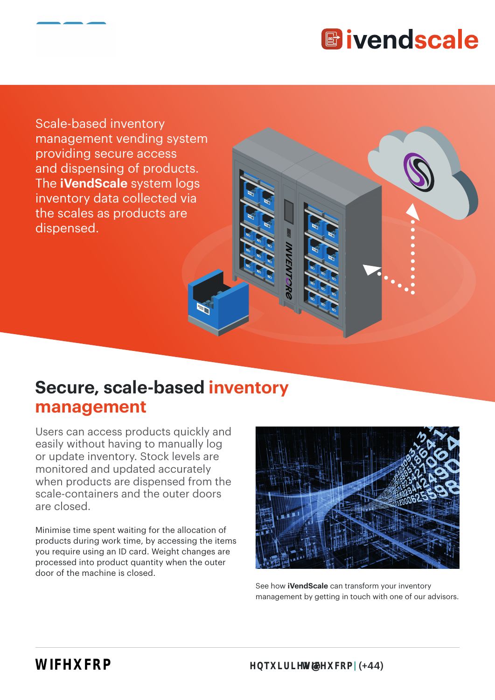

Scale-based inventory management vending system providing secure access and dispensing of products. The **iVendScale** system logs inventory data collected via the scales as products are dispensed.

# **Secure, scale-based inventory management**

Users can access products quickly and easily without having to manually log or update inventory. Stock levels are monitored and updated accurately when products are dispensed from the scale-containers and the outer doors are closed.

Minimise time spent waiting for the allocation of products during work time, by accessing the items you require using an ID card. Weight changes are processed into product quantity when the outer door of the machine is closed.



See how **iVendScale** can transform your inventory management by getting in touch with one of our advisors.